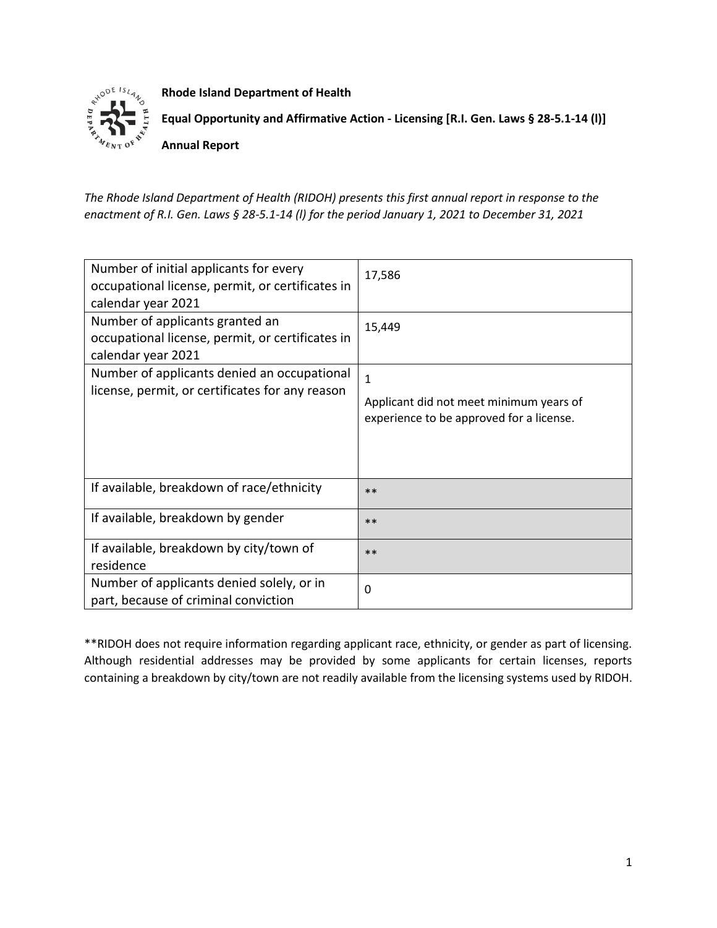

**Rhode Island Department of Health**

**Equal Opportunity and Affirmative Action - Licensing [R.I. Gen. Laws § 28-5.1-14 (l)]**

**Annual Report**

*The Rhode Island Department of Health (RIDOH) presents this first annual report in response to the enactment of R.I. Gen. Laws § 28-5.1-14 (l) for the period January 1, 2021 to December 31, 2021*

| Number of initial applicants for every<br>occupational license, permit, or certificates in<br>calendar year 2021 | 17,586                                                                                              |
|------------------------------------------------------------------------------------------------------------------|-----------------------------------------------------------------------------------------------------|
| Number of applicants granted an<br>occupational license, permit, or certificates in<br>calendar year 2021        | 15,449                                                                                              |
| Number of applicants denied an occupational<br>license, permit, or certificates for any reason                   | $\mathbf{1}$<br>Applicant did not meet minimum years of<br>experience to be approved for a license. |
| If available, breakdown of race/ethnicity                                                                        | $**$                                                                                                |
| If available, breakdown by gender                                                                                | $**$                                                                                                |
| If available, breakdown by city/town of<br>residence                                                             | $***$                                                                                               |
| Number of applicants denied solely, or in<br>part, because of criminal conviction                                | $\Omega$                                                                                            |

\*\*RIDOH does not require information regarding applicant race, ethnicity, or gender as part of licensing. Although residential addresses may be provided by some applicants for certain licenses, reports containing a breakdown by city/town are not readily available from the licensing systems used by RIDOH.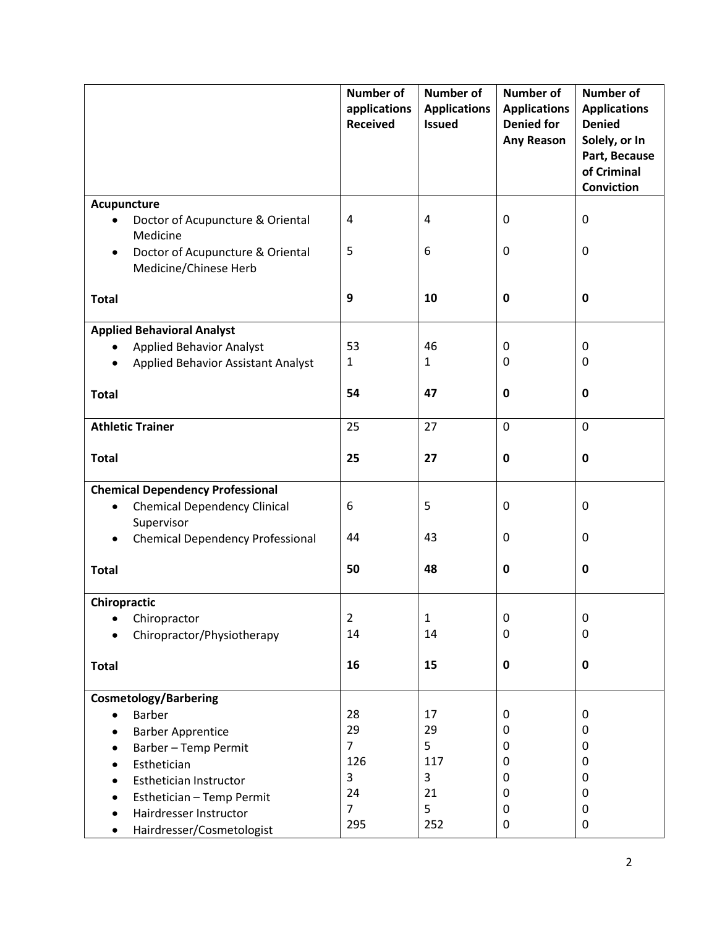|                                                           | <b>Number of</b><br>applications<br><b>Received</b> | <b>Number of</b><br><b>Applications</b><br><b>Issued</b> | <b>Number of</b><br><b>Applications</b><br><b>Denied for</b><br>Any Reason | <b>Number of</b><br><b>Applications</b><br><b>Denied</b><br>Solely, or In<br>Part, Because<br>of Criminal<br><b>Conviction</b> |
|-----------------------------------------------------------|-----------------------------------------------------|----------------------------------------------------------|----------------------------------------------------------------------------|--------------------------------------------------------------------------------------------------------------------------------|
| Acupuncture                                               |                                                     |                                                          |                                                                            |                                                                                                                                |
| Doctor of Acupuncture & Oriental<br>$\bullet$<br>Medicine | $\overline{4}$                                      | $\overline{4}$                                           | 0                                                                          | $\mathbf 0$                                                                                                                    |
| Doctor of Acupuncture & Oriental<br>Medicine/Chinese Herb | 5                                                   | 6                                                        | 0                                                                          | $\mathbf 0$                                                                                                                    |
| <b>Total</b>                                              | $\boldsymbol{9}$                                    | 10                                                       | 0                                                                          | $\mathbf 0$                                                                                                                    |
| <b>Applied Behavioral Analyst</b>                         |                                                     |                                                          |                                                                            |                                                                                                                                |
| <b>Applied Behavior Analyst</b><br>$\bullet$              | 53                                                  | 46                                                       | 0                                                                          | 0                                                                                                                              |
| <b>Applied Behavior Assistant Analyst</b>                 | $\mathbf{1}$                                        | $\mathbf{1}$                                             | 0                                                                          | $\mathbf 0$                                                                                                                    |
| <b>Total</b>                                              | 54                                                  | 47                                                       | 0                                                                          | 0                                                                                                                              |
| <b>Athletic Trainer</b>                                   | 25                                                  | 27                                                       | 0                                                                          | $\mathbf 0$                                                                                                                    |
| <b>Total</b>                                              | 25                                                  | 27                                                       | $\pmb{0}$                                                                  | $\mathbf 0$                                                                                                                    |
| <b>Chemical Dependency Professional</b>                   |                                                     |                                                          |                                                                            |                                                                                                                                |
| <b>Chemical Dependency Clinical</b><br>$\bullet$          | 6                                                   | 5                                                        | 0                                                                          | $\mathbf 0$                                                                                                                    |
| Supervisor                                                |                                                     |                                                          |                                                                            |                                                                                                                                |
| <b>Chemical Dependency Professional</b>                   | 44                                                  | 43                                                       | 0                                                                          | $\mathbf 0$                                                                                                                    |
| <b>Total</b>                                              | 50                                                  | 48                                                       | 0                                                                          | $\mathbf 0$                                                                                                                    |
| Chiropractic                                              |                                                     |                                                          |                                                                            |                                                                                                                                |
| Chiropractor<br>$\bullet$                                 | $\overline{2}$                                      | 1                                                        | 0                                                                          | 0                                                                                                                              |
| Chiropractor/Physiotherapy                                | 14                                                  | 14                                                       | 0                                                                          | 0                                                                                                                              |
| <b>Total</b>                                              | 16                                                  | 15                                                       | $\mathbf 0$                                                                | $\mathbf 0$                                                                                                                    |
| <b>Cosmetology/Barbering</b>                              |                                                     |                                                          |                                                                            |                                                                                                                                |
| <b>Barber</b>                                             | 28                                                  | 17                                                       | 0                                                                          | 0                                                                                                                              |
| <b>Barber Apprentice</b>                                  | 29                                                  | 29                                                       | 0                                                                          | 0                                                                                                                              |
| <b>Barber-Temp Permit</b>                                 | $\overline{7}$                                      | 5                                                        | 0                                                                          | 0                                                                                                                              |
| Esthetician                                               | 126                                                 | 117                                                      | 0                                                                          | $\pmb{0}$                                                                                                                      |
| Esthetician Instructor                                    | 3                                                   | 3                                                        | 0                                                                          | 0                                                                                                                              |
| Esthetician - Temp Permit                                 | 24                                                  | 21                                                       | 0                                                                          | 0                                                                                                                              |
| Hairdresser Instructor                                    | $\overline{7}$                                      | 5                                                        | 0                                                                          | 0                                                                                                                              |
| Hairdresser/Cosmetologist                                 | 295                                                 | 252                                                      | 0                                                                          | 0                                                                                                                              |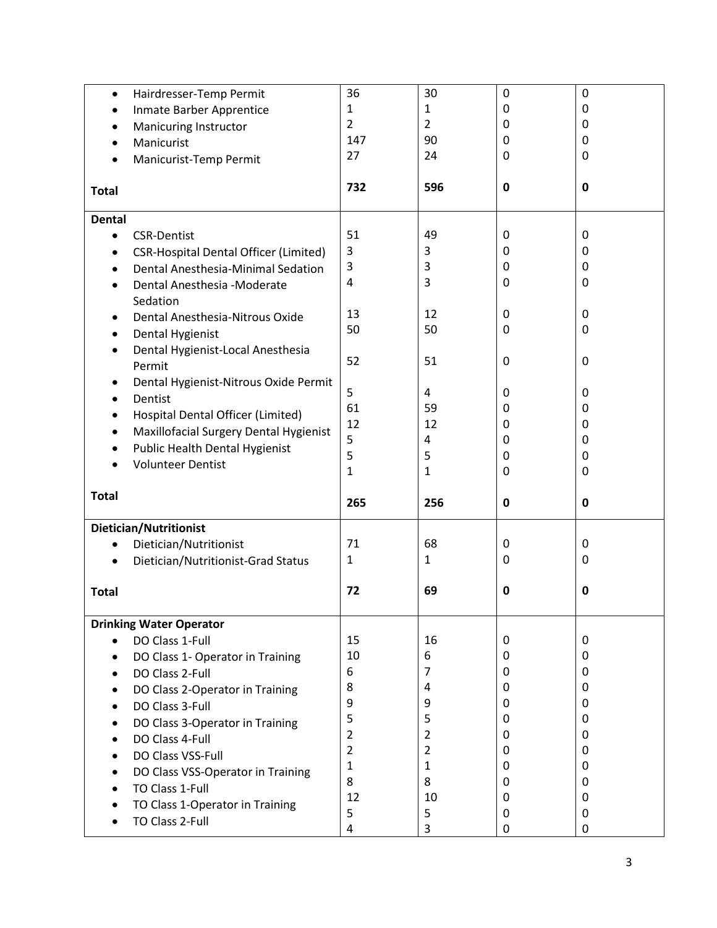| $\bullet$     | Hairdresser-Temp Permit                            | 36             | 30             | 0 | 0           |
|---------------|----------------------------------------------------|----------------|----------------|---|-------------|
| $\bullet$     | Inmate Barber Apprentice                           | 1              | $\mathbf{1}$   | 0 | 0           |
|               | <b>Manicuring Instructor</b>                       | $\overline{2}$ | $\overline{2}$ | 0 | 0           |
| $\bullet$     | Manicurist                                         | 147            | 90             | 0 | 0           |
|               | Manicurist-Temp Permit                             | 27             | 24             | 0 | 0           |
|               |                                                    |                |                |   |             |
| <b>Total</b>  |                                                    | 732            | 596            | 0 | 0           |
| <b>Dental</b> |                                                    |                |                |   |             |
| $\bullet$     | <b>CSR-Dentist</b>                                 | 51             | 49             | 0 | 0           |
|               | <b>CSR-Hospital Dental Officer (Limited)</b>       | 3              | 3              | 0 | 0           |
| $\bullet$     | Dental Anesthesia-Minimal Sedation                 | 3              | 3              | 0 | 0           |
|               | Dental Anesthesia -Moderate                        | $\overline{4}$ | 3              | 0 | 0           |
|               | Sedation                                           |                |                |   |             |
| ٠             | Dental Anesthesia-Nitrous Oxide                    | 13             | 12             | 0 | 0           |
| $\bullet$     | <b>Dental Hygienist</b>                            | 50             | 50             | 0 | 0           |
| $\bullet$     | Dental Hygienist-Local Anesthesia                  |                |                |   |             |
|               | Permit                                             | 52             | 51             | 0 | 0           |
| ٠             | Dental Hygienist-Nitrous Oxide Permit              |                |                |   |             |
|               | Dentist                                            | 5              | 4              | 0 | 0           |
|               | Hospital Dental Officer (Limited)                  | 61             | 59             | 0 | 0           |
| $\bullet$     | Maxillofacial Surgery Dental Hygienist             | 12             | 12             | 0 | 0           |
| ٠             | Public Health Dental Hygienist                     | 5              | 4              | 0 | 0           |
|               | <b>Volunteer Dentist</b>                           | 5              | 5              | 0 | 0           |
|               |                                                    |                |                | 0 | 0           |
|               |                                                    | $\mathbf{1}$   | 1              |   |             |
| <b>Total</b>  |                                                    | 265            | 256            | 0 | $\mathbf 0$ |
|               |                                                    |                |                |   |             |
| $\bullet$     | Dietician/Nutritionist                             | 71             | 68             | 0 | 0           |
|               | Dietician/Nutritionist                             | 1              | 1              | 0 | 0           |
|               | Dietician/Nutritionist-Grad Status                 |                |                |   |             |
| <b>Total</b>  |                                                    | 72             | 69             | 0 | 0           |
|               | <b>Drinking Water Operator</b>                     |                |                |   |             |
|               | DO Class 1-Full                                    | 15             | 16             | 0 | 0           |
|               |                                                    | 10             | 6              | 0 | 0           |
|               | DO Class 1- Operator in Training                   | 6              | 7              | 0 | 0           |
|               | DO Class 2-Full                                    | 8              | 4              | 0 | 0           |
|               | DO Class 2-Operator in Training                    | 9              | 9              | 0 | 0           |
|               | DO Class 3-Full                                    | 5              | 5              | 0 | 0           |
|               | DO Class 3-Operator in Training                    | $\overline{2}$ | $\overline{2}$ | 0 | 0           |
|               | DO Class 4-Full                                    | $\overline{2}$ | $\overline{2}$ | 0 | 0           |
|               | DO Class VSS-Full                                  | $\mathbf{1}$   | 1              | 0 | 0           |
|               | DO Class VSS-Operator in Training                  | 8              | 8              | 0 | 0           |
|               | TO Class 1-Full                                    | 12             | 10             | 0 | 0           |
|               | TO Class 1-Operator in Training<br>TO Class 2-Full | 5<br>4         | 5<br>3         | 0 | 0           |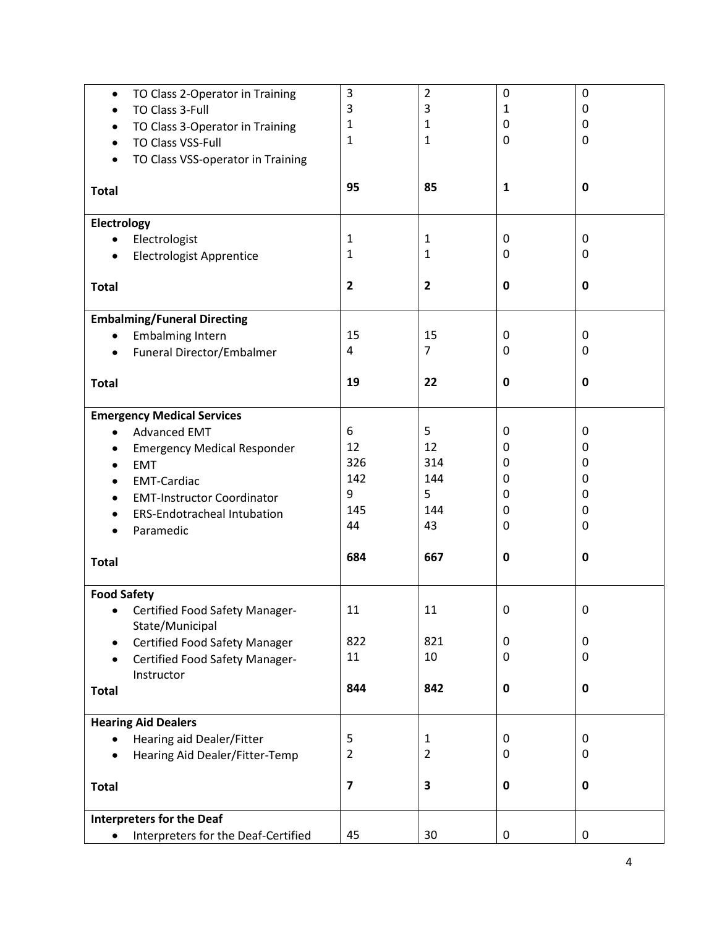| $\bullet$          | TO Class 2-Operator in Training      | 3              | 2              | 0            | 0           |
|--------------------|--------------------------------------|----------------|----------------|--------------|-------------|
| $\bullet$          | TO Class 3-Full                      | 3              | 3              | 1            | 0           |
|                    | TO Class 3-Operator in Training      | 1              | 1              | 0            | 0           |
| $\bullet$          | <b>TO Class VSS-Full</b>             | 1              | $\mathbf{1}$   | 0            | 0           |
|                    | TO Class VSS-operator in Training    |                |                |              |             |
|                    |                                      |                |                |              |             |
| <b>Total</b>       |                                      | 95             | 85             | $\mathbf{1}$ | 0           |
| Electrology        |                                      |                |                |              |             |
| $\bullet$          | Electrologist                        | 1              | 1              | 0            | 0           |
| $\bullet$          | <b>Electrologist Apprentice</b>      | 1              | 1              | 0            | 0           |
|                    |                                      |                |                |              |             |
| <b>Total</b>       |                                      | $\overline{2}$ | $\overline{2}$ | $\mathbf 0$  | $\mathbf 0$ |
|                    |                                      |                |                |              |             |
|                    | <b>Embalming/Funeral Directing</b>   |                |                |              |             |
| $\bullet$          | <b>Embalming Intern</b>              | 15             | 15             | 0            | $\mathbf 0$ |
| $\bullet$          | Funeral Director/Embalmer            | 4              | 7              | 0            | 0           |
| <b>Total</b>       |                                      | 19             | 22             | $\mathbf 0$  | $\mathbf 0$ |
|                    |                                      |                |                |              |             |
|                    | <b>Emergency Medical Services</b>    |                |                |              |             |
| $\bullet$          | <b>Advanced EMT</b>                  | 6              | 5              | 0            | 0           |
|                    | <b>Emergency Medical Responder</b>   | 12             | 12             | 0            | 0           |
| $\bullet$          | <b>EMT</b>                           | 326            | 314            | 0            | 0           |
|                    | <b>EMT-Cardiac</b>                   | 142            | 144            | 0            | 0           |
|                    | <b>EMT-Instructor Coordinator</b>    | 9              | 5              | 0            | 0           |
| $\bullet$          | <b>ERS-Endotracheal Intubation</b>   | 145            | 144            | 0            | 0           |
|                    | Paramedic                            | 44             | 43             | 0            | 0           |
|                    |                                      |                |                |              |             |
| <b>Total</b>       |                                      | 684            | 667            | $\mathbf 0$  | $\mathbf 0$ |
| <b>Food Safety</b> |                                      |                |                |              |             |
| ٠                  | Certified Food Safety Manager-       | 11             | 11             | U            | 0           |
|                    | State/Municipal                      |                |                |              |             |
| $\bullet$          | <b>Certified Food Safety Manager</b> | 822            | 821            | 0            | $\mathbf 0$ |
|                    | Certified Food Safety Manager-       | 11             | 10             | 0            | $\pmb{0}$   |
|                    | Instructor                           |                |                |              |             |
| <b>Total</b>       |                                      | 844            | 842            | $\pmb{0}$    | $\mathbf 0$ |
|                    | <b>Hearing Aid Dealers</b>           |                |                |              |             |
| $\bullet$          | Hearing aid Dealer/Fitter            | 5              | $\mathbf{1}$   | 0            | 0           |
|                    | Hearing Aid Dealer/Fitter-Temp       | $\overline{2}$ | $\overline{2}$ | 0            | 0           |
|                    |                                      |                |                |              |             |
| <b>Total</b>       |                                      | 7              | 3              | $\pmb{0}$    | $\mathbf 0$ |
|                    | <b>Interpreters for the Deaf</b>     |                |                |              |             |
|                    | Interpreters for the Deaf-Certified  | 45             | 30             | $\pmb{0}$    | $\pmb{0}$   |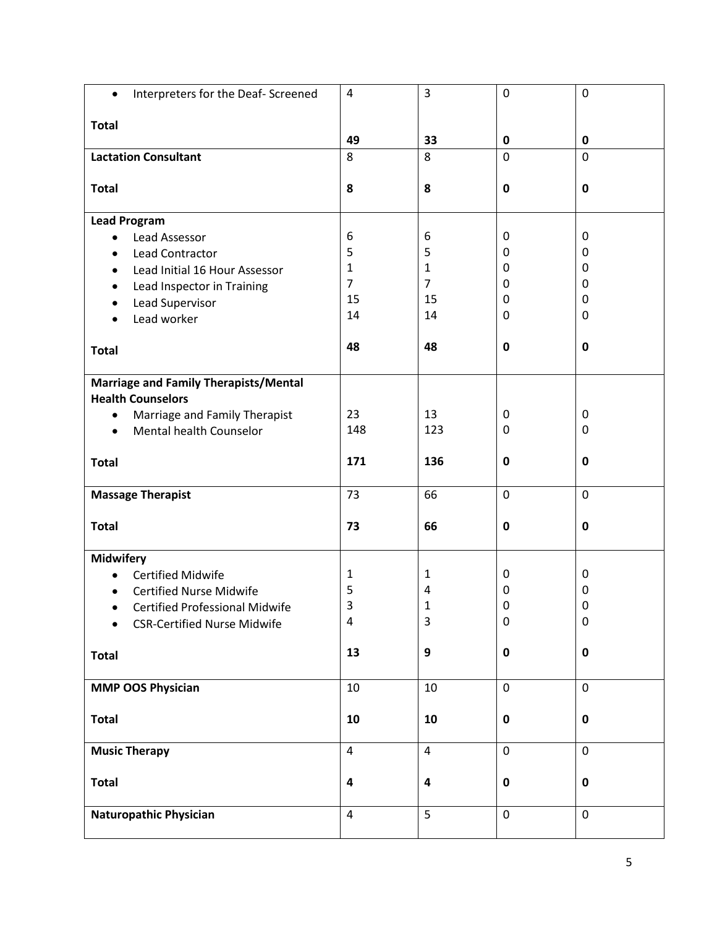| Interpreters for the Deaf- Screened<br>$\bullet$ | $\overline{a}$          | 3                       | $\pmb{0}$   | $\mathbf 0$ |
|--------------------------------------------------|-------------------------|-------------------------|-------------|-------------|
| <b>Total</b>                                     |                         |                         |             |             |
|                                                  | 49                      | 33                      | 0           | $\mathbf 0$ |
| <b>Lactation Consultant</b>                      | 8                       | 8                       | 0           | $\mathbf 0$ |
|                                                  |                         |                         |             |             |
| <b>Total</b>                                     | 8                       | 8                       | $\pmb{0}$   | $\mathbf 0$ |
| <b>Lead Program</b>                              |                         |                         |             |             |
| Lead Assessor<br>$\bullet$                       | 6                       | 6                       | 0           | $\mathbf 0$ |
| Lead Contractor                                  | 5                       | 5                       | 0           | 0           |
| Lead Initial 16 Hour Assessor<br>$\bullet$       | $\mathbf{1}$            | $\mathbf{1}$            | 0           | 0           |
| Lead Inspector in Training<br>$\bullet$          | $\overline{7}$          | $\overline{7}$          | 0           | 0           |
| Lead Supervisor                                  | 15                      | 15                      | 0           | $\mathbf 0$ |
| Lead worker<br>$\bullet$                         | 14                      | 14                      | 0           | $\mathbf 0$ |
| <b>Total</b>                                     | 48                      | 48                      | $\mathbf 0$ | $\mathbf 0$ |
|                                                  |                         |                         |             |             |
| <b>Marriage and Family Therapists/Mental</b>     |                         |                         |             |             |
| <b>Health Counselors</b>                         |                         |                         |             |             |
| Marriage and Family Therapist<br>$\bullet$       | 23                      | 13                      | 0           | $\mathbf 0$ |
| Mental health Counselor<br>$\bullet$             | 148                     | 123                     | 0           | 0           |
|                                                  |                         |                         |             |             |
| <b>Total</b>                                     | 171                     | 136                     | $\pmb{0}$   | $\pmb{0}$   |
| <b>Massage Therapist</b>                         | 73                      | 66                      | $\mathbf 0$ | $\mathbf 0$ |
|                                                  |                         |                         |             |             |
| <b>Total</b>                                     | 73                      | 66                      | $\pmb{0}$   | $\mathbf 0$ |
| <b>Midwifery</b>                                 |                         |                         |             |             |
| <b>Certified Midwife</b><br>$\bullet$            | $\mathbf{1}$            | 1                       | 0           | 0           |
| <b>Certified Nurse Midwife</b>                   | 5                       | 4                       | 0           | 0           |
| <b>Certified Professional Midwife</b>            | 3                       | 1                       | 0           | 0           |
| <b>CSR-Certified Nurse Midwife</b>               | 4                       | 3                       | $\pmb{0}$   | $\pmb{0}$   |
|                                                  |                         |                         |             |             |
| <b>Total</b>                                     | 13                      | $\boldsymbol{9}$        | $\pmb{0}$   | $\pmb{0}$   |
| <b>MMP OOS Physician</b>                         | 10                      | 10                      | $\mathbf 0$ | $\mathbf 0$ |
|                                                  |                         |                         |             |             |
| <b>Total</b>                                     | 10                      | 10                      | $\pmb{0}$   | $\mathbf 0$ |
|                                                  |                         |                         |             |             |
| <b>Music Therapy</b>                             | $\overline{\mathbf{4}}$ | $\overline{4}$          | $\pmb{0}$   | $\mathbf 0$ |
| <b>Total</b>                                     | $\overline{\mathbf{r}}$ | $\overline{\mathbf{4}}$ | $\pmb{0}$   | $\mathbf 0$ |
|                                                  |                         |                         |             |             |
| <b>Naturopathic Physician</b>                    | $\overline{\mathbf{4}}$ | 5                       | $\pmb{0}$   | $\mathbf 0$ |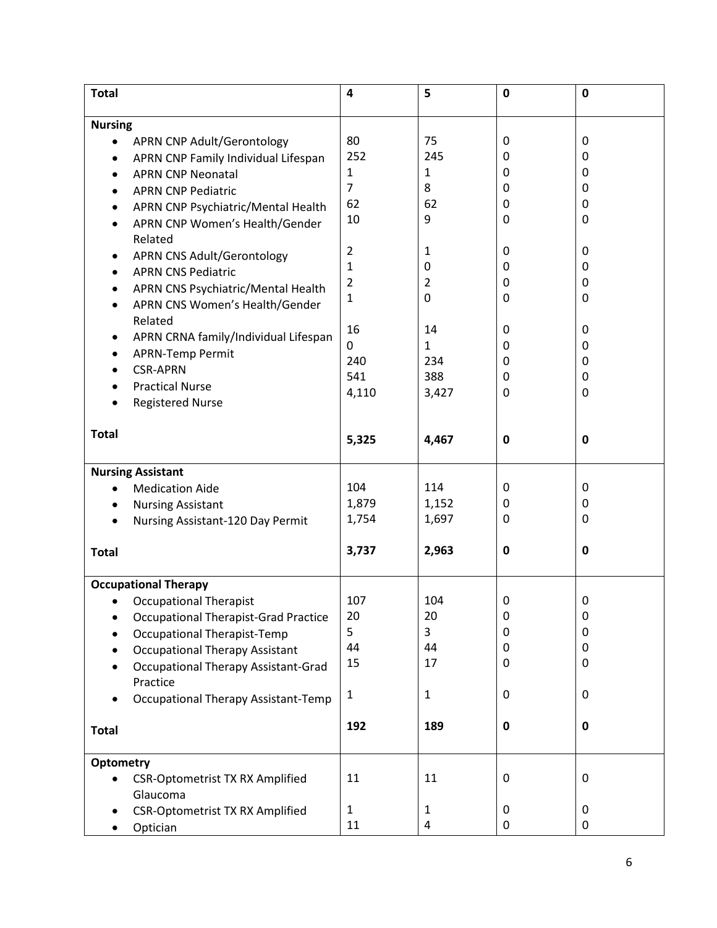| <b>Total</b>                                     | 4              | 5              | $\mathbf 0$ | $\mathbf 0$ |
|--------------------------------------------------|----------------|----------------|-------------|-------------|
| <b>Nursing</b>                                   |                |                |             |             |
| APRN CNP Adult/Gerontology<br>$\bullet$          | 80             | 75             | 0           | 0           |
| APRN CNP Family Individual Lifespan<br>$\bullet$ | 252            | 245            | 0           | 0           |
| <b>APRN CNP Neonatal</b><br>$\bullet$            | $\mathbf{1}$   | $\mathbf{1}$   | 0           | 0           |
| <b>APRN CNP Pediatric</b>                        | $\overline{7}$ | 8              | 0           | 0           |
| $\bullet$                                        | 62             | 62             | 0           | 0           |
| APRN CNP Psychiatric/Mental Health<br>$\bullet$  | 10             | 9              | 0           | 0           |
| APRN CNP Women's Health/Gender<br>$\bullet$      |                |                |             |             |
| Related                                          | $\overline{2}$ | 1              | 0           | 0           |
| <b>APRN CNS Adult/Gerontology</b><br>$\bullet$   | 1              | 0              | 0           | 0           |
| <b>APRN CNS Pediatric</b><br>$\bullet$           | $\overline{2}$ | $\overline{2}$ | 0           | 0           |
| APRN CNS Psychiatric/Mental Health<br>$\bullet$  | 1              | $\pmb{0}$      | 0           | 0           |
| APRN CNS Women's Health/Gender                   |                |                |             |             |
| Related                                          | 16             | 14             | 0           | 0           |
| APRN CRNA family/Individual Lifespan<br>٠        | $\Omega$       | $\mathbf{1}$   | 0           | 0           |
| APRN-Temp Permit<br>$\bullet$                    | 240            | 234            | 0           | 0           |
| <b>CSR-APRN</b>                                  | 541            | 388            | 0           | 0           |
| <b>Practical Nurse</b>                           | 4,110          | 3,427          | 0           | 0           |
| <b>Registered Nurse</b><br>$\bullet$             |                |                |             |             |
|                                                  |                |                |             |             |
| <b>Total</b>                                     | 5,325          | 4,467          | $\mathbf 0$ | 0           |
|                                                  |                |                |             |             |
| <b>Nursing Assistant</b>                         |                |                |             |             |
| <b>Medication Aide</b><br>$\bullet$              | 104            | 114            | 0           | 0           |
| <b>Nursing Assistant</b><br>$\bullet$            | 1,879          | 1,152          | 0           | 0           |
| Nursing Assistant-120 Day Permit<br>$\bullet$    | 1,754          | 1,697          | 0           | 0           |
|                                                  |                |                |             |             |
| <b>Total</b>                                     | 3,737          | 2,963          | $\pmb{0}$   | 0           |
|                                                  |                |                |             |             |
| <b>Occupational Therapy</b>                      |                |                |             |             |
| <b>Occupational Therapist</b>                    | 107            | 104            | $\mathbf 0$ | 0           |
| <b>Occupational Therapist-Grad Practice</b>      | 20             | 20             | 0           | 0           |
| <b>Occupational Therapist-Temp</b>               | 5              | 3<br>44        | 0           | 0           |
| <b>Occupational Therapy Assistant</b>            | 44             |                | 0           | 0           |
| <b>Occupational Therapy Assistant-Grad</b>       | 15             | 17             | 0           | 0           |
| Practice                                         |                |                |             |             |
| <b>Occupational Therapy Assistant-Temp</b>       | $\mathbf{1}$   | $\mathbf{1}$   | 0           | 0           |
|                                                  | 192            | 189            | $\pmb{0}$   | 0           |
| <b>Total</b>                                     |                |                |             |             |
| <b>Optometry</b>                                 |                |                |             |             |
| <b>CSR-Optometrist TX RX Amplified</b>           | 11             | 11             | 0           | 0           |
| Glaucoma                                         |                |                |             |             |
| <b>CSR-Optometrist TX RX Amplified</b>           | $\mathbf{1}$   | 1              | 0           | 0           |
| Optician                                         | 11             | 4              | $\pmb{0}$   | 0           |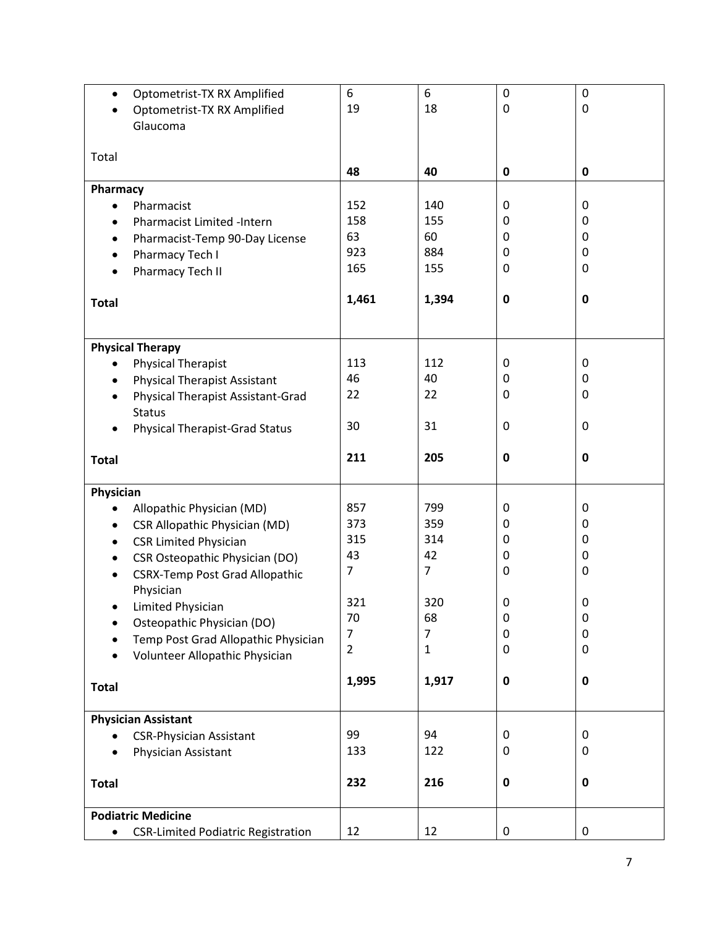| $\bullet$                  | Optometrist-TX RX Amplified               | 6              | 6     | $\mathbf 0$  | $\mathbf 0$ |
|----------------------------|-------------------------------------------|----------------|-------|--------------|-------------|
|                            | Optometrist-TX RX Amplified               | 19             | 18    | $\mathbf 0$  | 0           |
|                            | Glaucoma                                  |                |       |              |             |
|                            |                                           |                |       |              |             |
| Total                      |                                           |                |       |              |             |
|                            |                                           | 48             | 40    | $\pmb{0}$    | 0           |
|                            |                                           |                |       |              |             |
| Pharmacy                   |                                           |                |       |              |             |
| $\bullet$                  | Pharmacist                                | 152            | 140   | $\mathbf{0}$ | 0           |
| $\bullet$                  | <b>Pharmacist Limited -Intern</b>         | 158            | 155   | 0            | 0           |
| $\bullet$                  | Pharmacist-Temp 90-Day License            | 63             | 60    | 0            | 0           |
| $\bullet$                  | Pharmacy Tech I                           | 923            | 884   | 0            | 0           |
| $\bullet$                  | Pharmacy Tech II                          | 165            | 155   | 0            | 0           |
|                            |                                           |                |       |              |             |
| <b>Total</b>               |                                           | 1,461          | 1,394 | $\mathbf 0$  | $\mathbf 0$ |
|                            |                                           |                |       |              |             |
|                            |                                           |                |       |              |             |
| <b>Physical Therapy</b>    |                                           |                |       |              |             |
|                            | <b>Physical Therapist</b>                 | 113            | 112   | 0            | 0           |
| $\bullet$                  | <b>Physical Therapist Assistant</b>       | 46             | 40    | 0            | 0           |
| $\bullet$                  | <b>Physical Therapist Assistant-Grad</b>  | 22             | 22    | 0            | 0           |
|                            | <b>Status</b>                             |                |       |              |             |
|                            |                                           | 30             | 31    | 0            | 0           |
|                            | <b>Physical Therapist-Grad Status</b>     |                |       |              |             |
|                            |                                           | 211            | 205   | 0            | 0           |
| <b>Total</b>               |                                           |                |       |              |             |
|                            |                                           |                |       |              |             |
| Physician                  |                                           |                |       |              |             |
|                            | Allopathic Physician (MD)                 | 857            | 799   | 0            | 0           |
| $\bullet$                  | <b>CSR Allopathic Physician (MD)</b>      | 373            | 359   | 0            | 0           |
|                            | <b>CSR Limited Physician</b>              | 315            | 314   | 0            | 0           |
| $\bullet$                  | <b>CSR Osteopathic Physician (DO)</b>     | 43             | 42    | 0            | 0           |
|                            | <b>CSRX-Temp Post Grad Allopathic</b>     | 7              | 7     | 0            | 0           |
|                            | Physician                                 |                |       |              |             |
|                            | Limited Physician                         | 321            | 320   | 0            | 0           |
|                            | Osteopathic Physician (DO)                | 70             | 68    | 0            | 0           |
|                            | Temp Post Grad Allopathic Physician       | $\overline{7}$ | 7     | 0            | 0           |
|                            |                                           | $\overline{2}$ | 1     | 0            | 0           |
|                            | Volunteer Allopathic Physician            |                |       |              |             |
|                            |                                           | 1,995          | 1,917 | $\bf{0}$     | 0           |
| <b>Total</b>               |                                           |                |       |              |             |
|                            |                                           |                |       |              |             |
| <b>Physician Assistant</b> |                                           |                |       |              |             |
|                            | <b>CSR-Physician Assistant</b>            | 99             | 94    | 0            | $\mathbf 0$ |
|                            | Physician Assistant                       | 133            | 122   | 0            | 0           |
|                            |                                           |                |       |              |             |
| <b>Total</b>               |                                           | 232            | 216   | $\pmb{0}$    | $\mathbf 0$ |
|                            |                                           |                |       |              |             |
| <b>Podiatric Medicine</b>  |                                           |                |       |              |             |
| $\bullet$                  | <b>CSR-Limited Podiatric Registration</b> | 12             | 12    | $\pmb{0}$    | $\pmb{0}$   |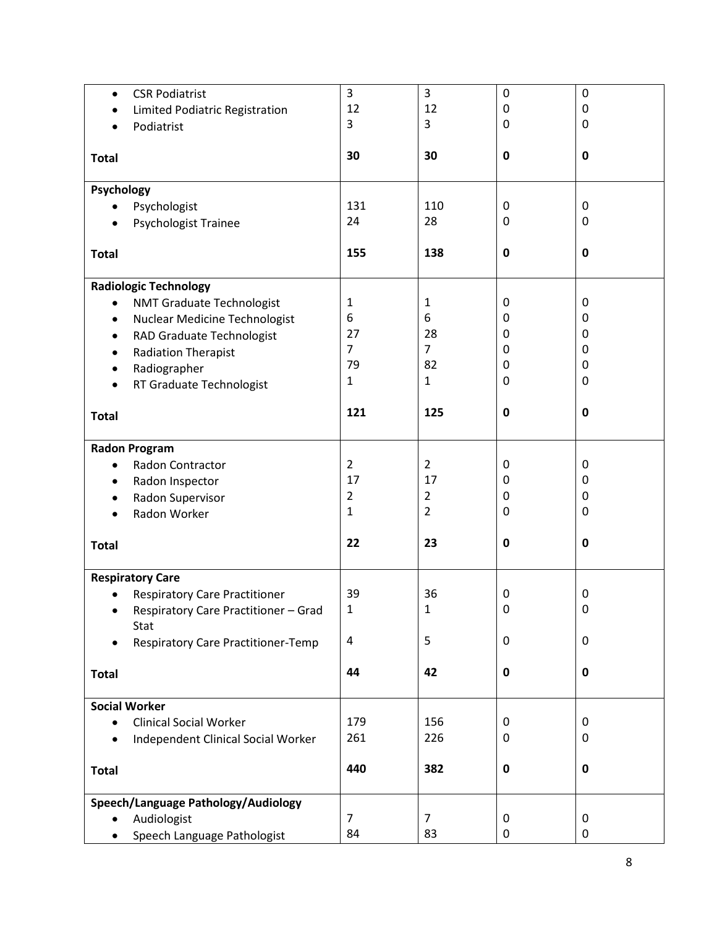| $\bullet$    | <b>CSR Podiatrist</b>                     | 3              | 3              | $\mathbf 0$ | $\mathbf 0$ |  |
|--------------|-------------------------------------------|----------------|----------------|-------------|-------------|--|
| ٠            | Limited Podiatric Registration            | 12             | 12             | $\pmb{0}$   | 0           |  |
| $\bullet$    | Podiatrist                                | 3              | 3              | 0           | 0           |  |
|              |                                           |                |                |             |             |  |
| <b>Total</b> |                                           | 30             | 30             | $\bf{0}$    | $\mathbf 0$ |  |
| Psychology   |                                           |                |                |             |             |  |
| $\bullet$    | Psychologist                              | 131            | 110            | 0           | 0           |  |
| $\bullet$    | <b>Psychologist Trainee</b>               | 24             | 28             | 0           | $\mathbf 0$ |  |
|              |                                           |                |                |             |             |  |
| <b>Total</b> |                                           | 155            | 138            | $\mathbf 0$ | $\mathbf 0$ |  |
|              | <b>Radiologic Technology</b>              |                |                |             |             |  |
| $\bullet$    | <b>NMT Graduate Technologist</b>          | $\mathbf{1}$   | $\mathbf{1}$   | $\mathbf 0$ | $\mathbf 0$ |  |
| $\bullet$    | Nuclear Medicine Technologist             | 6              | 6              | 0           | 0           |  |
| $\bullet$    | RAD Graduate Technologist                 | 27             | 28             | 0           | 0           |  |
| $\bullet$    | <b>Radiation Therapist</b>                | 7              | $\overline{7}$ | 0           | 0           |  |
| ٠            | Radiographer                              | 79             | 82             | 0           | 0           |  |
| $\bullet$    | RT Graduate Technologist                  | $\mathbf{1}$   | $\mathbf{1}$   | 0           | 0           |  |
|              |                                           |                |                |             |             |  |
| <b>Total</b> |                                           | 121            | 125            | 0           | $\mathbf 0$ |  |
|              |                                           |                |                |             |             |  |
|              | <b>Radon Program</b>                      |                |                |             |             |  |
| $\bullet$    | Radon Contractor                          | $\overline{2}$ | $\overline{2}$ | 0           | 0           |  |
| $\bullet$    | Radon Inspector                           | 17             | 17             | 0           | 0           |  |
| ٠            | Radon Supervisor                          | $\overline{2}$ | $\overline{2}$ | 0           | 0           |  |
|              | Radon Worker                              | $\mathbf{1}$   | $\overline{2}$ | 0           | 0           |  |
|              |                                           |                |                |             |             |  |
| <b>Total</b> |                                           | 22             | 23             | $\mathbf 0$ | $\mathbf 0$ |  |
|              | <b>Respiratory Care</b>                   |                |                |             |             |  |
|              | <b>Respiratory Care Practitioner</b>      | 39             | 36             | 0           | 0           |  |
|              | Respiratory Care Practitioner - Grad      | 1              | 1              | 0           | 0           |  |
|              | Stat                                      |                |                |             |             |  |
|              | <b>Respiratory Care Practitioner-Temp</b> | 4              | 5              | $\pmb{0}$   | $\mathbf 0$ |  |
|              |                                           |                |                |             |             |  |
| <b>Total</b> |                                           | 44             | 42             | $\pmb{0}$   | $\mathbf 0$ |  |
|              | <b>Social Worker</b>                      |                |                |             |             |  |
| $\bullet$    | <b>Clinical Social Worker</b>             | 179            | 156            | 0           | 0           |  |
| $\bullet$    | <b>Independent Clinical Social Worker</b> | 261            | 226            | 0           | 0           |  |
|              |                                           |                |                |             |             |  |
| <b>Total</b> |                                           | 440            | 382            | $\pmb{0}$   | $\mathbf 0$ |  |
|              | Speech/Language Pathology/Audiology       |                |                |             |             |  |
|              | Audiologist                               | $\overline{7}$ | $\overline{7}$ | 0           | $\mathbf 0$ |  |
|              | Speech Language Pathologist               | 84             | 83             | $\pmb{0}$   | $\pmb{0}$   |  |